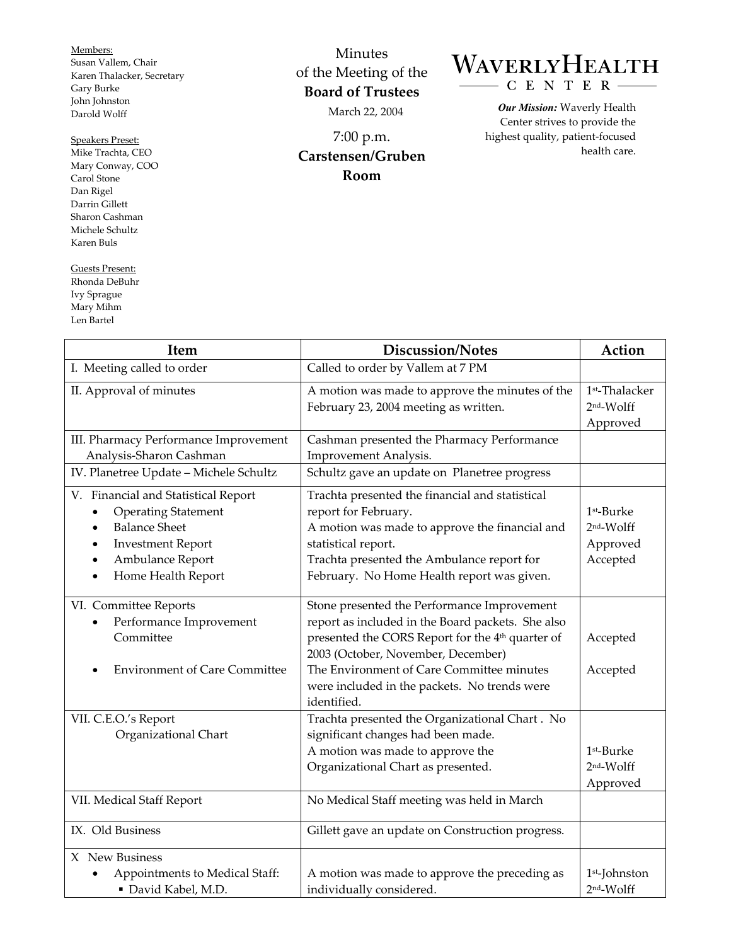Members: Susan Vallem, Chair Karen Thalacker, Secretary Gary Burke John Johnston Darold Wolff

Speakers Preset:

Mike Trachta, CEO Mary Conway, COO Carol Stone Dan Rigel Darrin Gillett Sharon Cashman Michele Schultz Karen Buls

Guests Present: Rhonda DeBuhr Ivy Sprague Mary Mihm Len Bartel

 $\overline{\Gamma}$ 

Minutes of the Meeting of the **Board of Trustees**  March 22, 2004

7:00 p.m. **Carstensen/Gruben Room** 

## WAVERLYHEALTH  $- C E N T E R -$

*Our Mission:* Waverly Health Center strives to provide the highest quality, patient-focused health care.

| Item                                                                                                                                                                                                        | Discussion/Notes                                                                                                                                                                                                                                                                                                   | Action                                                      |
|-------------------------------------------------------------------------------------------------------------------------------------------------------------------------------------------------------------|--------------------------------------------------------------------------------------------------------------------------------------------------------------------------------------------------------------------------------------------------------------------------------------------------------------------|-------------------------------------------------------------|
| I. Meeting called to order                                                                                                                                                                                  | Called to order by Vallem at 7 PM                                                                                                                                                                                                                                                                                  |                                                             |
| II. Approval of minutes                                                                                                                                                                                     | A motion was made to approve the minutes of the<br>February 23, 2004 meeting as written.                                                                                                                                                                                                                           | 1st-Thalacker<br>$2nd$ -Wolff<br>Approved                   |
| III. Pharmacy Performance Improvement<br>Analysis-Sharon Cashman                                                                                                                                            | Cashman presented the Pharmacy Performance<br>Improvement Analysis.                                                                                                                                                                                                                                                |                                                             |
| IV. Planetree Update - Michele Schultz                                                                                                                                                                      | Schultz gave an update on Planetree progress                                                                                                                                                                                                                                                                       |                                                             |
| V. Financial and Statistical Report<br><b>Operating Statement</b><br><b>Balance Sheet</b><br>$\bullet$<br><b>Investment Report</b><br>٠<br>Ambulance Report<br>$\bullet$<br>Home Health Report<br>$\bullet$ | Trachta presented the financial and statistical<br>report for February.<br>A motion was made to approve the financial and<br>statistical report.<br>Trachta presented the Ambulance report for<br>February. No Home Health report was given.                                                                       | 1 <sup>st</sup> -Burke<br>2nd-Wolff<br>Approved<br>Accepted |
| VI. Committee Reports<br>Performance Improvement<br>$\bullet$<br>Committee<br><b>Environment of Care Committee</b>                                                                                          | Stone presented the Performance Improvement<br>report as included in the Board packets. She also<br>presented the CORS Report for the 4 <sup>th</sup> quarter of<br>2003 (October, November, December)<br>The Environment of Care Committee minutes<br>were included in the packets. No trends were<br>identified. | Accepted<br>Accepted                                        |
| VII. C.E.O.'s Report<br>Organizational Chart                                                                                                                                                                | Trachta presented the Organizational Chart. No<br>significant changes had been made.<br>A motion was made to approve the<br>Organizational Chart as presented.                                                                                                                                                     | 1 <sup>st</sup> -Burke<br>$2nd-Wolff$<br>Approved           |
| VII. Medical Staff Report                                                                                                                                                                                   | No Medical Staff meeting was held in March                                                                                                                                                                                                                                                                         |                                                             |
| IX. Old Business                                                                                                                                                                                            | Gillett gave an update on Construction progress.                                                                                                                                                                                                                                                                   |                                                             |
| X New Business<br>Appointments to Medical Staff:<br>David Kabel, M.D.                                                                                                                                       | A motion was made to approve the preceding as<br>individually considered.                                                                                                                                                                                                                                          | $1st$ -Johnston<br>$2nd-Wolff$                              |